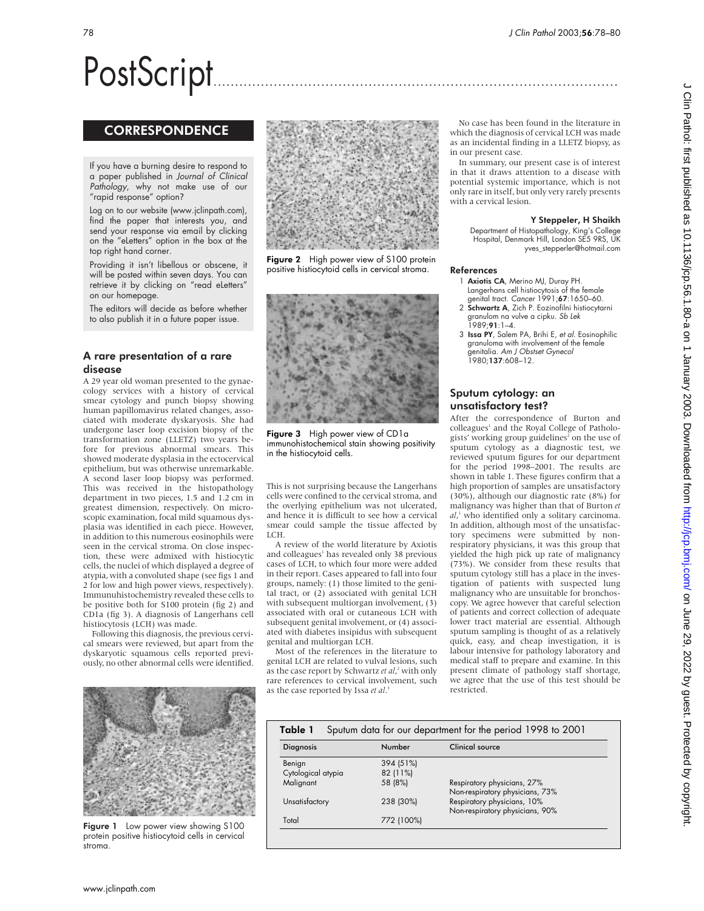# PostScript..............................................................................................

# **CORRESPONDENCE**

If you have a burning desire to respond to a paper published in Journal of Clinical Pathology, why not make use of our "rapid response" option?

Log on to our website (www.jclinpath.com), find the paper that interests you, and send your response via email by clicking on the "eLetters" option in the box at the top right hand corner.

Providing it isn't libellous or obscene, it will be posted within seven days. You can retrieve it by clicking on "read eLetters" on our homepage.

The editors will decide as before whether to also publish it in a future paper issue.

# A rare presentation of a rare disease

A 29 year old woman presented to the gynaecology services with a history of cervical smear cytology and punch biopsy showing human papillomavirus related changes, associated with moderate dyskaryosis. She had undergone laser loop excision biopsy of the transformation zone (LLETZ) two years before for previous abnormal smears. This showed moderate dysplasia in the ectocervical epithelium, but was otherwise unremarkable. A second laser loop biopsy was performed. This was received in the histopathology department in two pieces, 1.5 and 1.2 cm in greatest dimension, respectively. On microscopic examination, focal mild squamous dysplasia was identified in each piece. However, in addition to this numerous eosinophils were seen in the cervical stroma. On close inspection, these were admixed with histiocytic cells, the nuclei of which displayed a degree of atypia, with a convoluted shape (see figs 1 and 2 for low and high power views, respectively). Immunuhistochemistry revealed these cells to be positive both for S100 protein (fig 2) and CD1a (fig 3). A diagnosis of Langerhans cell histiocytosis (LCH) was made.

Following this diagnosis, the previous cervical smears were reviewed, but apart from the dyskaryotic squamous cells reported previously, no other abnormal cells were identified.



Figure 1 Low power view showing S100 protein positive histiocytoid cells in cervical stroma.



Figure 2 High power view of S100 protein positive histiocytoid cells in cervical stroma.



Figure 3 High power view of CD1a immunohistochemical stain showing positivity in the histiocytoid cells.

This is not surprising because the Langerhans cells were confined to the cervical stroma, and the overlying epithelium was not ulcerated, and hence it is difficult to see how a cervical smear could sample the tissue affected by LCH.

A review of the world literature by Axiotis and colleagues<sup>1</sup> has revealed only 38 previous cases of LCH, to which four more were added in their report. Cases appeared to fall into four groups, namely: (1) those limited to the genital tract, or (2) associated with genital LCH with subsequent multiorgan involvement, (3) associated with oral or cutaneous LCH with subsequent genital involvement, or (4) associated with diabetes insipidus with subsequent genital and multiorgan LCH.

Most of the references in the literature to genital LCH are related to vulval lesions, such as the case report by Schwartz *et al*, <sup>2</sup> with only rare references to cervical involvement, such as the case reported by Issa *et al*. 3

Total 772 (100%)

No case has been found in the literature in which the diagnosis of cervical LCH was made as an incidental finding in a LLETZ biopsy, as in our present case.

In summary, our present case is of interest in that it draws attention to a disease with potential systemic importance, which is not only rare in itself, but only very rarely presents with a cervical lesion.

#### Y Steppeler, H Shaikh

Department of Histopathology, King's College Hospital, Denmark Hill, London SE5 9RS, UK yves\_stepperler@hotmail.com

#### References

- 1 Axiotis CA, Merino MJ, Duray PH. Langerhans cell histiocytosis of the female
- genital tract. *Cancer* 1991;**67**:1650–60.<br>2 **Schwartz A**, Zich P. Eozinofilni histiocytarni granulom na vulve a cipku. Sb Lek  $1989:91:1-4.$
- 3 Issa PY, Salem PA, Brihi E, et al. Eosinophilic granuloma with involvement of the female enitalia. Am J Obstset Gynecol 1980;137:608–12.

# Sputum cytology: an unsatisfactory test?

After the correspondence of Burton and colleagues<sup>1</sup> and the Royal College of Pathologists' working group guidelines<sup>2</sup> on the use of sputum cytology as a diagnostic test, we reviewed sputum figures for our department for the period 1998–2001. The results are shown in table 1. These figures confirm that a high proportion of samples are unsatisfactory (30%), although our diagnostic rate (8%) for malignancy was higher than that of Burton *et al*, <sup>1</sup> who identified only a solitary carcinoma. In addition, although most of the unsatisfactory specimens were submitted by nonrespiratory physicians, it was this group that yielded the high pick up rate of malignancy (73%). We consider from these results that sputum cytology still has a place in the investigation of patients with suspected lung malignancy who are unsuitable for bronchoscopy. We agree however that careful selection of patients and correct collection of adequate lower tract material are essential. Although sputum sampling is thought of as a relatively quick, easy, and cheap investigation, it is labour intensive for pathology laboratory and medical staff to prepare and examine. In this present climate of pathology staff shortage, we agree that the use of this test should be restricted.

| Sputum data for our department for the period 1998 to 2001<br>Table 1 |  |           |                                 |
|-----------------------------------------------------------------------|--|-----------|---------------------------------|
| <b>Diagnosis</b>                                                      |  | Number    | <b>Clinical source</b>          |
| Benign                                                                |  | 394 (51%) |                                 |
| Cytological atypia                                                    |  | 82 (11%)  |                                 |
| Malignant                                                             |  | 58 (8%)   | Respiratory physicians, 27%     |
|                                                                       |  |           | Non-respiratory physicians, 73% |
| Unsatisfactory                                                        |  | 238 (30%) | Respiratory physicians, 10%     |

Non-respiratory physicians, 90%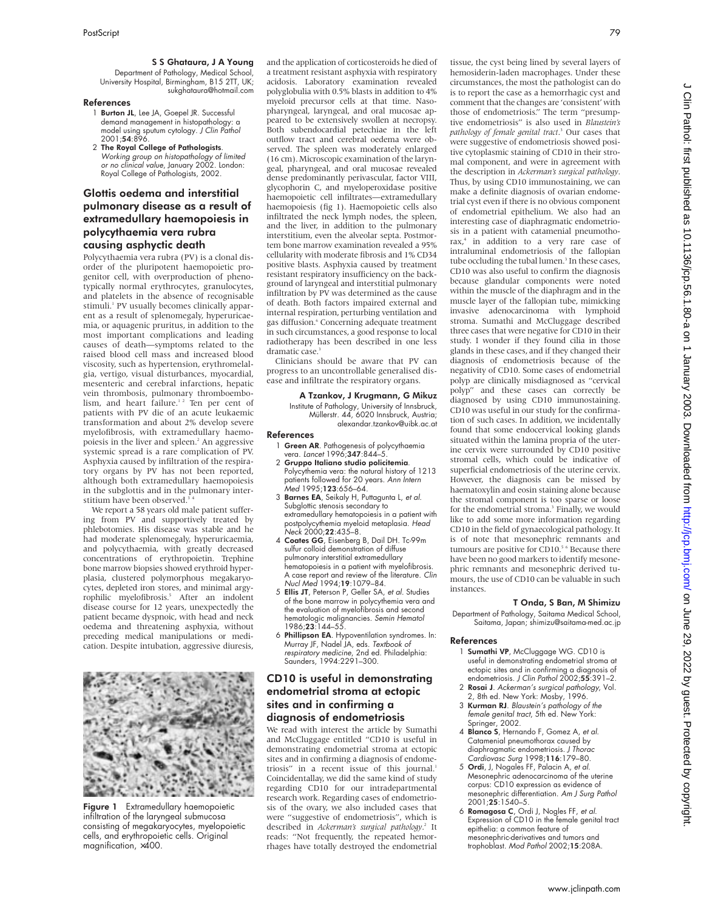## S S Ghataura, J A Young

Department of Pathology, Medical School, University Hospital, Birmingham, B15 2TT, UK; sukghataura@hotmail.com

#### References

- 1 **Burton JL**, Lee JA, Goepel JR. Successful demand management in histopathology: a model using sputum cytology. J Clin Pathol 2001;54:896.
- 2 The Royal College of Pathologists. Working group on histopathology of limited or no clinical value, January 2002. London: Royal College of Pathologists, 2002.

# Glottis oedema and interstitial pulmonary disease as a result of extramedullary haemopoiesis in polycythaemia vera rubra causing asphyctic death

Polycythaemia vera rubra (PV) is a clonal disorder of the pluripotent haemopoietic progenitor cell, with overproduction of phenotypically normal erythrocytes, granulocytes, and platelets in the absence of recognisable stimuli.<sup>1</sup> PV usually becomes clinically apparent as a result of splenomegaly, hyperuricaemia, or aquagenic pruritus, in addition to the most important complications and leading causes of death—symptoms related to the raised blood cell mass and increased blood viscosity, such as hypertension, erythromelalgia, vertigo, visual disturbances, myocardial, mesenteric and cerebral infarctions, hepatic vein thrombosis, pulmonary thromboembolism, and heart failure.<sup>12</sup> Ten per cent of patients with PV die of an acute leukaemic transformation and about 2% develop severe myelofibrosis, with extramedullary haemopoiesis in the liver and spleen.<sup>2</sup> An aggressive systemic spread is a rare complication of PV. Asphyxia caused by infiltration of the respiratory organs by PV has not been reported, although both extramedullary haemopoiesis in the subglottis and in the pulmonary interstitium have been observed.<sup>3</sup>

We report a 58 years old male patient suffering from PV and supportively treated by phlebotomies. His disease was stable and he had moderate splenomegaly, hyperuricaemia, and polycythaemia, with greatly decreased concentrations of erythropoietin. Trephine bone marrow biopsies showed erythroid hyperplasia, clustered polymorphous megakaryocytes, depleted iron stores, and minimal argyrophilic myelofibrosis.<sup>5</sup> After an indolent disease course for 12 years, unexpectedly the patient became dyspnoic, with head and neck oedema and threatening asphyxia, without preceding medical manipulations or medication. Despite intubation, aggressive diuresis,



Figure 1 Extramedullary haemopoietic infiltration of the laryngeal submucosa consisting of megakaryocytes, myelopoietic cells, and erythropoietic cells. Original magnification, ×400.

and the application of corticosteroids he died of a treatment resistant asphyxia with respiratory acidosis. Laboratory examination revealed polyglobulia with 0.5% blasts in addition to 4% myeloid precursor cells at that time. Nasopharyngeal, laryngeal, and oral mucosae appeared to be extensively swollen at necropsy. Both subendocardial petechiae in the left outflow tract and cerebral oedema were observed. The spleen was moderately enlarged (16 cm).Microscopic examination of the laryngeal, pharyngeal, and oral mucosae revealed dense predominantly perivascular, factor VIII, glycophorin C, and myeloperoxidase positive haemopoietic cell infiltrates—extramedullary haemopoiesis (fig 1). Haemopoietic cells also infiltrated the neck lymph nodes, the spleen, and the liver, in addition to the pulmonary interstitium, even the alveolar septa. Postmortem bone marrow examination revealed a 95% cellularity with moderate fibrosis and 1% CD34 positive blasts. Asphyxia caused by treatment resistant respiratory insufficiency on the background of laryngeal and interstitial pulmonary infiltration by PV was determined as the cause of death. Both factors impaired external and internal respiration, perturbing ventilation and gas diffusion.<sup>6</sup> Concerning adequate treatment in such circumstances, a good response to local radiotherapy has been described in one less dramatic case.<sup>3</sup>

Clinicians should be aware that PV can progress to an uncontrollable generalised disease and infiltrate the respiratory organs.

### A Tzankov, J Krugmann, G Mikuz

Institute of Pathology, University of Innsbruck, Müllerstr. 44, 6020 Innsbruck, Austria; alexandar.tzankov@uibk.ac.at

#### References

- 1 Green AR. Pathogenesis of polycythaemia vera. *Lancet* 1996;**347**:844–5
- 2 Gruppo Italiano studio policitemia. Polycythemia vera: the natural history of 1213 patients followed for 20 years. Ann Intern Med 1995;123:656–64.
- 3 Barnes EA, Seikaly H, Puttagunta L, et al. Subglottic stenosis secondary to extramedullary hematopoiesis in a patient with postpolycythemia myeloid metaplasia. Head Neck 2000;22:435–8.
- 4 Coates GG, Eisenberg B, Dail DH. Tc-99m sulfur colloid demonstration of diffuse pulmonary interstitial extramedullary hematopoiesis in a patient with myelofibrosis. A case report and review of the literature. Clin Nucl Med 1994;19:1079–84.
- 5 Ellis JT, Peterson P, Geller SA, et al. Studies of the bone marrow in polycythemia vera and the evaluation of myelofibrosis and second hematologic malignancies. Semin Hematol 1986;23:144–55.
- 6 Phillipson EA. Hypoventilation syndromes. In: Murray JF, Nadel JA, eds. Textbook of respiratory medicine, 2nd ed. Philadelphia: Saunders, 1994:2291–300.

# CD10 is useful in demonstrating endometrial stroma at ectopic sites and in confirming a diagnosis of endometriosis

We read with interest the article by Sumathi and McCluggage entitled "CD10 is useful in demonstrating endometrial stroma at ectopic sites and in confirming a diagnosis of endometriosis" in a recent issue of this journal.<sup>1</sup> Coincidentallay, we did the same kind of study regarding CD10 for our intradepartmental research work. Regarding cases of endometriosis of the ovary, we also included cases that were "suggestive of endometriosis", which is described in *Ackerman's surgical pathology*. <sup>2</sup> It reads: "Not frequently, the repeated hemorrhages have totally destroyed the endometrial tissue, the cyst being lined by several layers of hemosiderin-laden macrophages. Under these circumstances, the most the pathologist can do is to report the case as a hemorrhagic cyst and comment that the changes are 'consistent' with those of endometriosis." The term "presumptive endometriosis" is also used in *Blaustein's pathology of female genital tract*. <sup>3</sup> Our cases that were suggestive of endometriosis showed positive cytoplasmic staining of CD10 in their stromal component, and were in agreement with the description in *Ackerman's surgical pathology*. Thus, by using CD10 immunostaining, we can make a definite diagnosis of ovarian endometrial cyst even if there is no obvious component of endometrial epithelium. We also had an interesting case of diaphragmatic endometriosis in a patient with catamenial pneumothorax,<sup>4</sup> in addition to a very rare case of intraluminal endometriosis of the fallopian tube occluding the tubal lumen.<sup>3</sup> In these cases, CD10 was also useful to confirm the diagnosis because glandular components were noted within the muscle of the diaphragm and in the muscle layer of the fallopian tube, mimicking invasive adenocarcinoma with lymphoid stroma. Sumathi and McCluggage described three cases that were negative for CD10 in their study. I wonder if they found cilia in those glands in these cases, and if they changed their diagnosis of endometriosis because of the negativity of CD10. Some cases of endometrial polyp are clinically misdiagnosed as "cervical polyp" and these cases can correctly be diagnosed by using CD10 immunostaining. CD10 was useful in our study for the confirmation of such cases. In addition, we incidentally found that some endocervical looking glands situated within the lamina propria of the uterine cervix were surrounded by CD10 positive stromal cells, which could be indicative of superficial endometriosis of the uterine cervix. However, the diagnosis can be missed by haematoxylin and eosin staining alone because the stromal component is too sparse or loose for the endometrial stroma.<sup>3</sup> Finally, we would like to add some more information regarding CD10 in the field of gynaecological pathology. It is of note that mesonephric remnants and tumours are positive for CD10.<sup>5 6</sup> Because there have been no good markers to identify mesonephric remnants and mesonephric derived tumours, the use of CD10 can be valuable in such instances.

#### T Onda, S Ban, M Shimizu

Department of Pathology, Saitama Medical School, Saitama, Japan; shimizu@saitama-med.ac.jp

#### References

- 1 Sumathi VP, McCluggage WG. CD10 is useful in demonstrating endometrial stroma at ectopic sites and in confirming a diagnosis of endometriosis. J Clin Pathol 2002;55:391–2.
- 2 Rosai J. Ackerman's surgical pathology, Vol. 2, 8th ed. New York: Mosby, 1996.
- 3 Kurman RJ. Blaustein's pathology of the female genital tract, 5th ed. New York: Springer, 2002.
- 4 **Blanco S**, Hernando F, Gomez A, et al. Catamenial pneumothorax caused by diaphragmatic endometriosis. J Thorac Cardiovasc Surg 1998;116:179–80.
- 5 Ordi, J, Nogales FF, Palacin A, et al. Mesonephric adenocarcinoma of the uterine corpus: CD10 expression as evidence of mesonephric differentiation. Am J Surg Pathol 2001;25:1540–5.
- 6 Romagosa C, Ordi J, Nogles FF, et al. Expression of CD10 in the female genital tract epithelia: a common feature of mesonephric-derivatives and tumors and trophoblast. Mod Pathol 2002;15:208A.